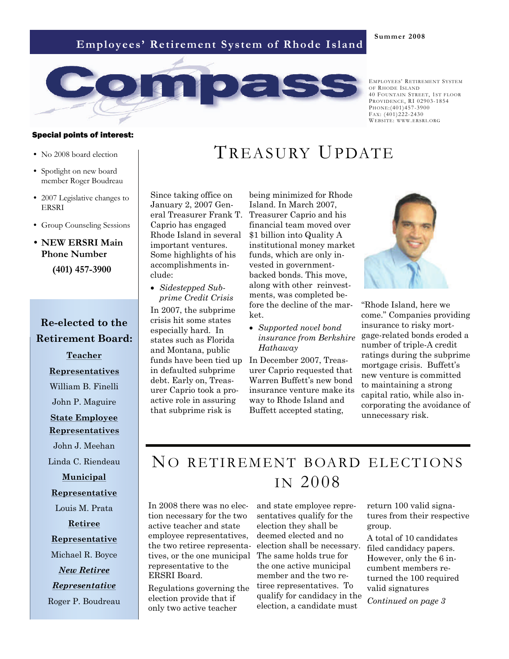## **Employees' Retirement System of Rhode Island**





EMPLOYEES' RETIREMENT SYSTEM OF RHODE ISLAND 40 FOUNTAIN STREET, 1ST FLOOR PROVIDENCE, RI 02903-1854 PHONE:(401)457-3900 FAX:  $(401)222 - 2430$ WEBSITE: WWW.ERSRI.ORG

#### Special points of interest:

- No 2008 board election
- Spotlight on new board member Roger Boudreau
- 2007 Legislative changes to ERSRI
- Group Counseling Sessions
- **NEW ERSRI Main Phone Number (401) 457-3900**

## **Re-elected to the Retirement Board:**

**Teacher Representatives** William B. Finelli John P. Maguire **State Employee Representatives** John J. Meehan Linda C. Riendeau

**Municipal** 

#### **Representative**

Louis M. Prata

### **Retiree**

#### **Representative**

Michael R. Boyce *New Retiree*

### *Representative*

Roger P. Boudreau

# TREASURY UPDATE

Since taking office on January 2, 2007 General Treasurer Frank T. Caprio has engaged Rhode Island in several important ventures. Some highlights of his accomplishments include:

• *Sidestepped Subprime Credit Crisis* 

In 2007, the subprime crisis hit some states especially hard. In states such as Florida and Montana, public funds have been tied up in defaulted subprime debt. Early on, Treasurer Caprio took a proactive role in assuring that subprime risk is

being minimized for Rhode Island. In March 2007, Treasurer Caprio and his financial team moved over \$1 billion into Quality A institutional money market funds, which are only invested in governmentbacked bonds. This move, along with other reinvestments, was completed before the decline of the market.

• *Supported novel bond insurance from Berkshire Hathaway* 

In December 2007, Treasurer Caprio requested that Warren Buffett's new bond insurance venture make its way to Rhode Island and Buffett accepted stating,



"Rhode Island, here we come." Companies providing insurance to risky mortgage-related bonds eroded a number of triple-A credit ratings during the subprime mortgage crisis. Buffett's new venture is committed to maintaining a strong capital ratio, while also incorporating the avoidance of unnecessary risk.

# NO RETIREMENT BOARD ELECTIONS I N 2008

In 2008 there was no election necessary for the two active teacher and state employee representatives, the two retiree representatives, or the one municipal representative to the ERSRI Board.

Regulations governing the election provide that if only two active teacher

and state employee representatives qualify for the election they shall be deemed elected and no election shall be necessary. The same holds true for the one active municipal member and the two retiree representatives. To qualify for candidacy in the election, a candidate must

return 100 valid signatures from their respective group.

A total of 10 candidates filed candidacy papers. However, only the 6 incumbent members returned the 100 required valid signatures

*Continued on page 3*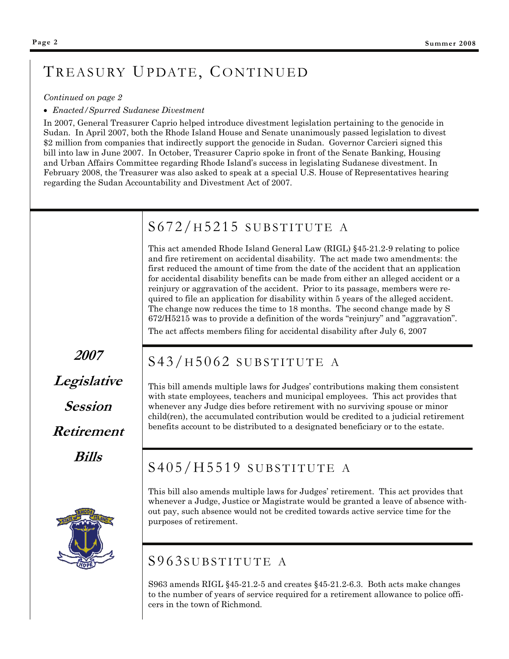# TREASURY UPDATE, CONTINUED

#### *Continued on page 2*

#### • *Enacted/Spurred Sudanese Divestment*

In 2007, General Treasurer Caprio helped introduce divestment legislation pertaining to the genocide in Sudan. In April 2007, both the Rhode Island House and Senate unanimously passed legislation to divest \$2 million from companies that indirectly support the genocide in Sudan. Governor Carcieri signed this bill into law in June 2007. In October, Treasurer Caprio spoke in front of the Senate Banking, Housing and Urban Affairs Committee regarding Rhode Island's success in legislating Sudanese divestment. In February 2008, the Treasurer was also asked to speak at a special U.S. House of Representatives hearing regarding the Sudan Accountability and Divestment Act of 2007.

# S672/ H 5215 SUBSTITUTE A

This act amended Rhode Island General Law (RIGL) §45-21.2-9 relating to police and fire retirement on accidental disability. The act made two amendments: the first reduced the amount of time from the date of the accident that an application for accidental disability benefits can be made from either an alleged accident or a reinjury or aggravation of the accident. Prior to its passage, members were required to file an application for disability within 5 years of the alleged accident. The change now reduces the time to 18 months. The second change made by S 672/H5215 was to provide a definition of the words "reinjury" and "aggravation". The act affects members filing for accidental disability after July 6, 2007

**2007 Legislative Session Retirement Bills** 

# S43/ H 5062 SUBSTITUTE A

This bill amends multiple laws for Judges' contributions making them consistent with state employees, teachers and municipal employees. This act provides that whenever any Judge dies before retirement with no surviving spouse or minor child(ren), the accumulated contribution would be credited to a judicial retirement benefits account to be distributed to a designated beneficiary or to the estate.

# S405/H5519 SUBSTITUTE A

This bill also amends multiple laws for Judges' retirement. This act provides that whenever a Judge, Justice or Magistrate would be granted a leave of absence without pay, such absence would not be credited towards active service time for the purposes of retirement.



S963 amends RIGL §45-21.2-5 and creates §45-21.2-6.3. Both acts make changes to the number of years of service required for a retirement allowance to police officers in the town of Richmond.

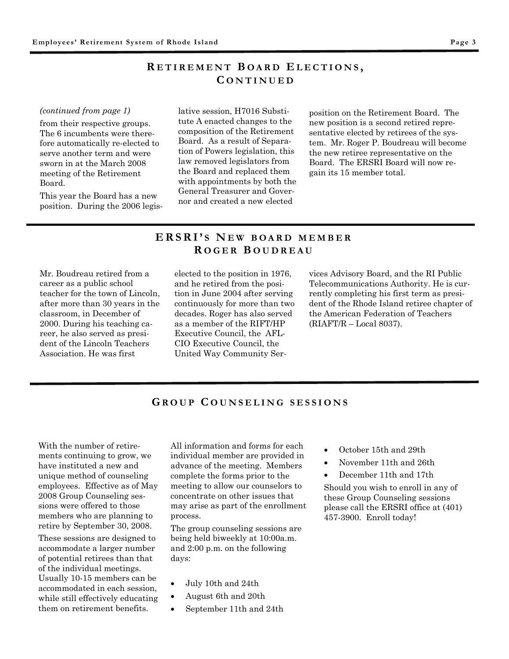### **R ETIREMENT B OARD E LECTIONS , C ONTINUED**

#### *(continued from page 1)*

from their respective groups. The 6 incumbents were therefore automatically re-elected to serve another term and were sworn in at the March 2008 meeting of the Retirement Board.

This year the Board has a new position. During the 2006 legislative session, H7016 Substitute A enacted changes to the composition of the Retirement Board. As a result of Separation of Powers legislation, this law removed legislators from the Board and replaced them with appointments by both the General Treasurer and Governor and created a new elected

position on the Retirement Board. The new position is a second retired representative elected by retirees of the system. Mr. Roger P. Boudreau will become the new retiree representative on the Board. The ERSRI Board will now regain its 15 member total.

### **ERSRI' S N E W BOARD MEMBER R OGER B OUDREAU**

Mr. Boudreau retired from a career as a public school teacher for the town of Lincoln, after more than 30 years in the classroom, in December of 2000. During his teaching career, he also served as president of the Lincoln Teachers Association. He was first

elected to the position in 1976, and he retired from the position in June 2004 after serving continuously for more than two decades. Roger has also served as a member of the RIFT/HP Executive Council, the AFL-CIO Executive Council, the United Way Community Services Advisory Board, and the RI Public Telecommunications Authority. He is currently completing his first term as president of the Rhode Island retiree chapter of the American Federation of Teachers (RIAFT/R – Local 8037).

#### **G ROUP C OUNSELING SESSIONS**

With the number of retirements continuing to grow, we have instituted a new and unique method of counseling employees. Effective as of May 2008 Group Counseling sessions were offered to those members who are planning to retire by September 30, 2008.

These sessions are designed to accommodate a larger number of potential retirees than that of the individual meetings. Usually 10-15 members can be accommodated in each session, while still effectively educating them on retirement benefits.

All information and forms for each individual member are provided in advance of the meeting. Members complete the forms prior to the meeting to allow our counselors to concentrate on other issues that may arise as part of the enrollment process.

The group counseling sessions are being held biweekly at 10:00a.m. and 2:00 p.m. on the following days:

- July 10th and 24th
- August 6th and 20th
- September 11th and 24th
- October 15th and 29th
- November 11th and 26th
- December 11th and 17th

Should you wish to enroll in any of these Group Counseling sessions please call the ERSRI office at (401) 457-3900. Enroll today!